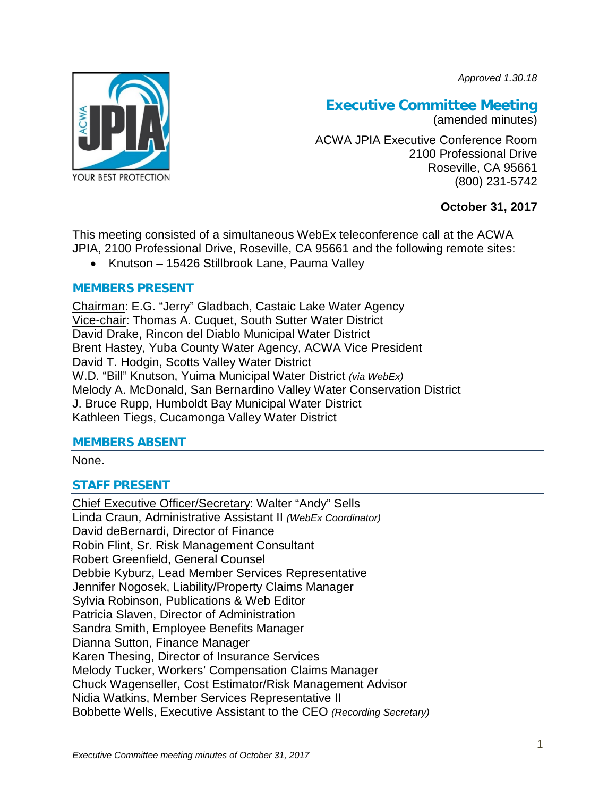*Approved 1.30.18*



# **Executive Committee Meeting**

(amended minutes)

ACWA JPIA Executive Conference Room 2100 Professional Drive Roseville, CA 95661 (800) 231-5742

# **October 31, 2017**

This meeting consisted of a simultaneous WebEx teleconference call at the ACWA JPIA, 2100 Professional Drive, Roseville, CA 95661 and the following remote sites:

• Knutson – 15426 Stillbrook Lane, Pauma Valley

# **MEMBERS PRESENT**

Chairman: E.G. "Jerry" Gladbach, Castaic Lake Water Agency Vice-chair: Thomas A. Cuquet, South Sutter Water District David Drake, Rincon del Diablo Municipal Water District Brent Hastey, Yuba County Water Agency, ACWA Vice President David T. Hodgin, Scotts Valley Water District W.D. "Bill" Knutson, Yuima Municipal Water District *(via WebEx)* Melody A. McDonald, San Bernardino Valley Water Conservation District J. Bruce Rupp, Humboldt Bay Municipal Water District Kathleen Tiegs, Cucamonga Valley Water District

# **MEMBERS ABSENT**

None.

# **STAFF PRESENT**

Chief Executive Officer/Secretary: Walter "Andy" Sells Linda Craun, Administrative Assistant II *(WebEx Coordinator)* David deBernardi, Director of Finance Robin Flint, Sr. Risk Management Consultant Robert Greenfield, General Counsel Debbie Kyburz, Lead Member Services Representative Jennifer Nogosek, Liability/Property Claims Manager Sylvia Robinson, Publications & Web Editor Patricia Slaven, Director of Administration Sandra Smith, Employee Benefits Manager Dianna Sutton, Finance Manager Karen Thesing, Director of Insurance Services Melody Tucker, Workers' Compensation Claims Manager Chuck Wagenseller, Cost Estimator/Risk Management Advisor Nidia Watkins, Member Services Representative II Bobbette Wells, Executive Assistant to the CEO *(Recording Secretary)*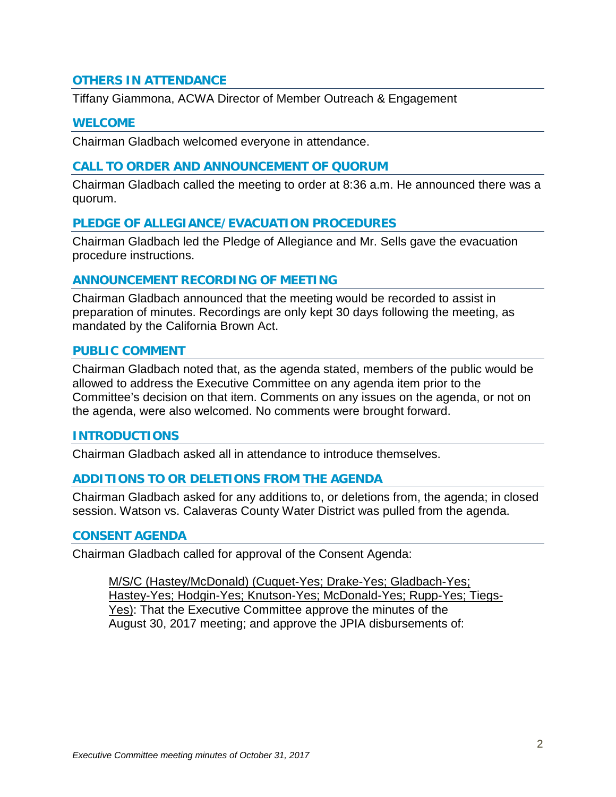# **OTHERS IN ATTENDANCE**

Tiffany Giammona, ACWA Director of Member Outreach & Engagement

#### **WELCOME**

Chairman Gladbach welcomed everyone in attendance.

#### **CALL TO ORDER AND ANNOUNCEMENT OF QUORUM**

Chairman Gladbach called the meeting to order at 8:36 a.m. He announced there was a quorum.

#### **PLEDGE OF ALLEGIANCE/EVACUATION PROCEDURES**

Chairman Gladbach led the Pledge of Allegiance and Mr. Sells gave the evacuation procedure instructions.

#### **ANNOUNCEMENT RECORDING OF MEETING**

Chairman Gladbach announced that the meeting would be recorded to assist in preparation of minutes. Recordings are only kept 30 days following the meeting, as mandated by the California Brown Act.

#### **PUBLIC COMMENT**

Chairman Gladbach noted that, as the agenda stated, members of the public would be allowed to address the Executive Committee on any agenda item prior to the Committee's decision on that item. Comments on any issues on the agenda, or not on the agenda, were also welcomed. No comments were brought forward.

#### **INTRODUCTIONS**

Chairman Gladbach asked all in attendance to introduce themselves.

#### **ADDITIONS TO OR DELETIONS FROM THE AGENDA**

Chairman Gladbach asked for any additions to, or deletions from, the agenda; in closed session. Watson vs. Calaveras County Water District was pulled from the agenda.

#### **CONSENT AGENDA**

Chairman Gladbach called for approval of the Consent Agenda:

M/S/C (Hastey/McDonald) (Cuquet-Yes; Drake-Yes; Gladbach-Yes; Hastey-Yes; Hodgin-Yes; Knutson-Yes; McDonald-Yes; Rupp-Yes; Tiegs-Yes): That the Executive Committee approve the minutes of the August 30, 2017 meeting; and approve the JPIA disbursements of: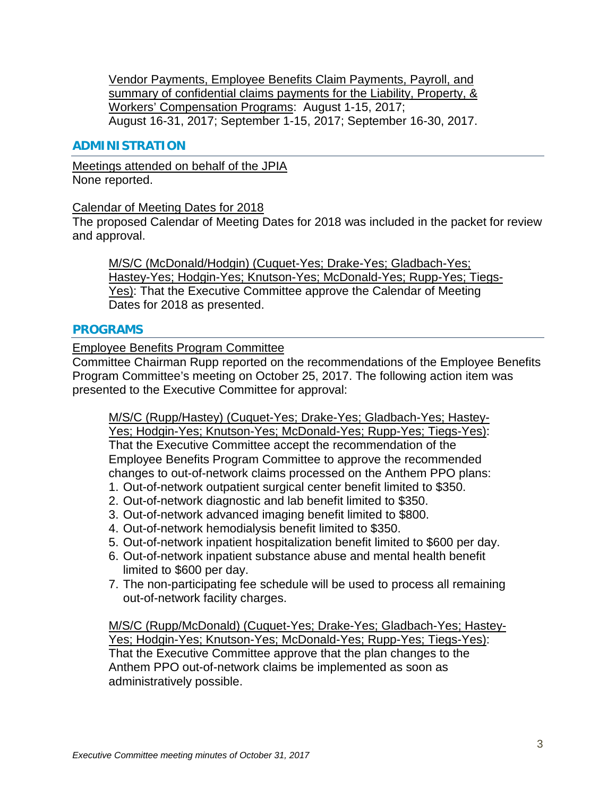Vendor Payments, Employee Benefits Claim Payments, Payroll, and summary of confidential claims payments for the Liability, Property, & Workers' Compensation Programs: August 1-15, 2017; August 16-31, 2017; September 1-15, 2017; September 16-30, 2017.

### **ADMINISTRATION**

Meetings attended on behalf of the JPIA None reported.

Calendar of Meeting Dates for 2018

The proposed Calendar of Meeting Dates for 2018 was included in the packet for review and approval.

M/S/C (McDonald/Hodgin) (Cuquet-Yes; Drake-Yes; Gladbach-Yes; Hastey-Yes; Hodgin-Yes; Knutson-Yes; McDonald-Yes; Rupp-Yes; Tiegs-Yes): That the Executive Committee approve the Calendar of Meeting Dates for 2018 as presented.

#### **PROGRAMS**

Employee Benefits Program Committee

Committee Chairman Rupp reported on the recommendations of the Employee Benefits Program Committee's meeting on October 25, 2017. The following action item was presented to the Executive Committee for approval:

M/S/C (Rupp/Hastey) (Cuquet-Yes; Drake-Yes; Gladbach-Yes; Hastey-

Yes; Hodgin-Yes; Knutson-Yes; McDonald-Yes; Rupp-Yes; Tiegs-Yes): That the Executive Committee accept the recommendation of the Employee Benefits Program Committee to approve the recommended changes to out-of-network claims processed on the Anthem PPO plans:

- 1. Out-of-network outpatient surgical center benefit limited to \$350.
- 2. Out-of-network diagnostic and lab benefit limited to \$350.
- 3. Out-of-network advanced imaging benefit limited to \$800.
- 4. Out-of-network hemodialysis benefit limited to \$350.
- 5. Out-of-network inpatient hospitalization benefit limited to \$600 per day.
- 6. Out-of-network inpatient substance abuse and mental health benefit limited to \$600 per day.
- 7. The non-participating fee schedule will be used to process all remaining out-of-network facility charges.

M/S/C (Rupp/McDonald) (Cuquet-Yes; Drake-Yes; Gladbach-Yes; Hastey-Yes; Hodgin-Yes; Knutson-Yes; McDonald-Yes; Rupp-Yes; Tiegs-Yes): That the Executive Committee approve that the plan changes to the Anthem PPO out-of-network claims be implemented as soon as administratively possible.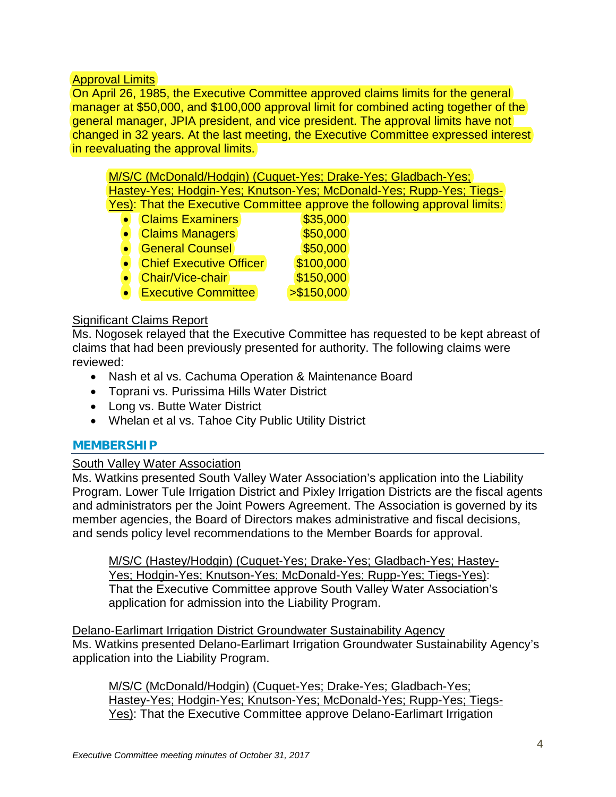# Approval Limits

On April 26, 1985, the Executive Committee approved claims limits for the general manager at \$50,000, and \$100,000 approval limit for combined acting together of the general manager, JPIA president, and vice president. The approval limits have not changed in 32 years. At the last meeting, the Executive Committee expressed interest in reevaluating the approval limits.

M/S/C (McDonald/Hodgin) (Cuquet-Yes; Drake-Yes; Gladbach-Yes; Hastey-Yes; Hodgin-Yes; Knutson-Yes; McDonald-Yes; Rupp-Yes; Tiegs-Yes): That the Executive Committee approve the following approval limits:

| <b>Claims Examiners</b>        | \$35,000    |
|--------------------------------|-------------|
| <b>Claims Managers</b>         | \$50,000    |
| <b>General Counsel</b>         | \$50,000    |
| <b>Chief Executive Officer</b> | \$100,000   |
| Chair/Vice-chair               | \$150,000   |
| <b>Executive Committee</b>     | > \$150,000 |

# Significant Claims Report

Ms. Nogosek relayed that the Executive Committee has requested to be kept abreast of claims that had been previously presented for authority. The following claims were reviewed:

- Nash et al vs. Cachuma Operation & Maintenance Board
- Toprani vs. Purissima Hills Water District
- Long vs. Butte Water District
- Whelan et al vs. Tahoe City Public Utility District

# **MEMBERSHIP**

# South Valley Water Association

Ms. Watkins presented South Valley Water Association's application into the Liability Program. Lower Tule Irrigation District and Pixley Irrigation Districts are the fiscal agents and administrators per the Joint Powers Agreement. The Association is governed by its member agencies, the Board of Directors makes administrative and fiscal decisions, and sends policy level recommendations to the Member Boards for approval.

M/S/C (Hastey/Hodgin) (Cuquet-Yes; Drake-Yes; Gladbach-Yes; Hastey-Yes; Hodgin-Yes; Knutson-Yes; McDonald-Yes; Rupp-Yes; Tiegs-Yes): That the Executive Committee approve South Valley Water Association's application for admission into the Liability Program.

Delano-Earlimart Irrigation District Groundwater Sustainability Agency Ms. Watkins presented Delano-Earlimart Irrigation Groundwater Sustainability Agency's application into the Liability Program.

M/S/C (McDonald/Hodgin) (Cuquet-Yes; Drake-Yes; Gladbach-Yes; Hastey-Yes; Hodgin-Yes; Knutson-Yes; McDonald-Yes; Rupp-Yes; Tiegs-Yes): That the Executive Committee approve Delano-Earlimart Irrigation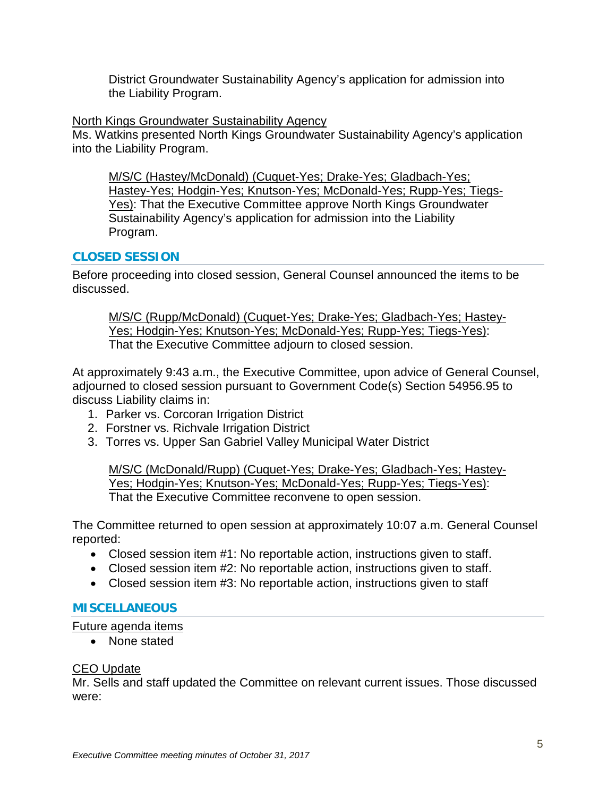District Groundwater Sustainability Agency's application for admission into the Liability Program.

### North Kings Groundwater Sustainability Agency

Ms. Watkins presented North Kings Groundwater Sustainability Agency's application into the Liability Program.

M/S/C (Hastey/McDonald) (Cuquet-Yes; Drake-Yes; Gladbach-Yes; Hastey-Yes; Hodgin-Yes; Knutson-Yes; McDonald-Yes; Rupp-Yes; Tiegs-Yes): That the Executive Committee approve North Kings Groundwater Sustainability Agency's application for admission into the Liability Program.

# **CLOSED SESSION**

Before proceeding into closed session, General Counsel announced the items to be discussed.

M/S/C (Rupp/McDonald) (Cuquet-Yes; Drake-Yes; Gladbach-Yes; Hastey-Yes; Hodgin-Yes; Knutson-Yes; McDonald-Yes; Rupp-Yes; Tiegs-Yes): That the Executive Committee adjourn to closed session.

At approximately 9:43 a.m., the Executive Committee, upon advice of General Counsel, adjourned to closed session pursuant to Government Code(s) Section 54956.95 to discuss Liability claims in:

- 1. Parker vs. Corcoran Irrigation District
- 2. Forstner vs. Richvale Irrigation District
- 3. Torres vs. Upper San Gabriel Valley Municipal Water District

M/S/C (McDonald/Rupp) (Cuquet-Yes; Drake-Yes; Gladbach-Yes; Hastey-Yes; Hodgin-Yes; Knutson-Yes; McDonald-Yes; Rupp-Yes; Tiegs-Yes): That the Executive Committee reconvene to open session.

The Committee returned to open session at approximately 10:07 a.m. General Counsel reported:

- Closed session item #1: No reportable action, instructions given to staff.
- Closed session item #2: No reportable action, instructions given to staff.
- Closed session item #3: No reportable action, instructions given to staff

# **MISCELLANEOUS**

Future agenda items

• None stated

# CEO Update

Mr. Sells and staff updated the Committee on relevant current issues. Those discussed were: